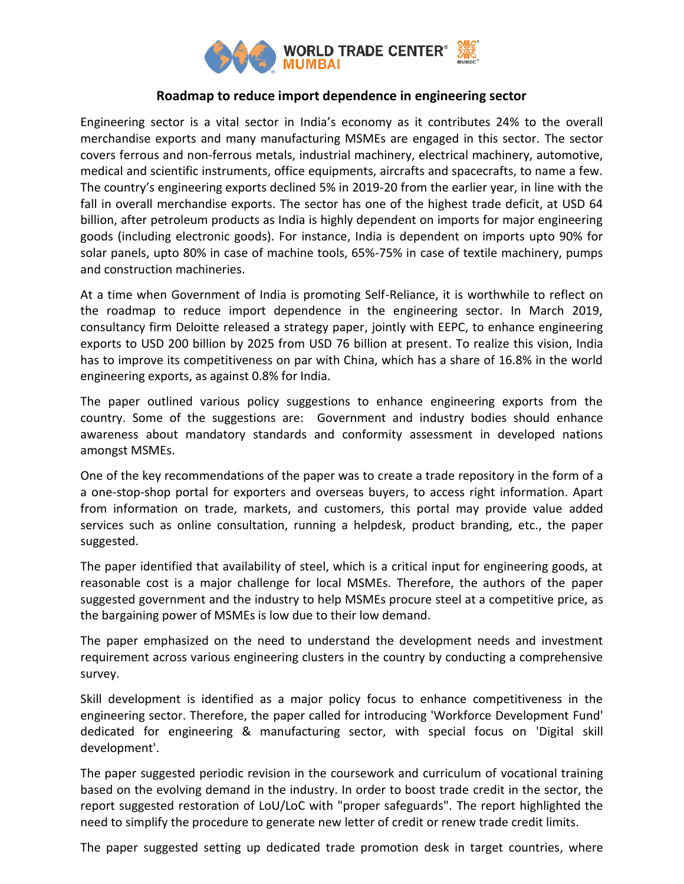

## **Roadmap to reduce import dependence in engineering sector**

Engineering sector is a vital sector in India's economy as it contributes 24% to the overall merchandise exports and many manufacturing MSMEs are engaged in this sector. The sector covers ferrous and non-ferrous metals, industrial machinery, electrical machinery, automotive, medical and scientific instruments, office equipments, aircrafts and spacecrafts, to name a few. The country's engineering exports declined 5% in 2019-20 from the earlier year, in line with the fall in overall merchandise exports. The sector has one of the highest trade deficit, at USD 64 billion, after petroleum products as India is highly dependent on imports for major engineering goods (including electronic goods). For instance, India is dependent on imports upto 90% for solar panels, upto 80% in case of machine tools, 65%-75% in case of textile machinery, pumps and construction machineries.

At a time when Government of India is promoting Self-Reliance, it is worthwhile to reflect on the roadmap to reduce import dependence in the engineering sector. In March 2019, consultancy firm Deloitte released a strategy paper, jointly with EEPC, to enhance engineering exports to USD 200 billion by 2025 from USD 76 billion at present. To realize this vision, India has to improve its competitiveness on par with China, which has a share of 16.8% in the world engineering exports, as against 0.8% for India.

The paper outlined various policy suggestions to enhance engineering exports from the country. Some of the suggestions are: Government and industry bodies should enhance awareness about mandatory standards and conformity assessment in developed nations amongst MSMEs.

One of the key recommendations of the paper was to create a trade repository in the form of a a one-stop-shop portal for exporters and overseas buyers, to access right information. Apart from information on trade, markets, and customers, this portal may provide value added services such as online consultation, running a helpdesk, product branding, etc., the paper suggested.

The paper identified that availability of steel, which is a critical input for engineering goods, at reasonable cost is a major challenge for local MSMEs. Therefore, the authors of the paper suggested government and the industry to help MSMEs procure steel at a competitive price, as the bargaining power of MSMEs is low due to their low demand.

The paper emphasized on the need to understand the development needs and investment requirement across various engineering clusters in the country by conducting a comprehensive survey.

Skill development is identified as a major policy focus to enhance competitiveness in the engineering sector. Therefore, the paper called for introducing 'Workforce Development Fund' dedicated for engineering & manufacturing sector, with special focus on 'Digital skill development'.

The paper suggested periodic revision in the coursework and curriculum of vocational training based on the evolving demand in the industry. In order to boost trade credit in the sector, the report suggested restoration of LoU/LoC with "proper safeguards". The report highlighted the need to simplify the procedure to generate new letter of credit or renew trade credit limits.

The paper suggested setting up dedicated trade promotion desk in target countries, where